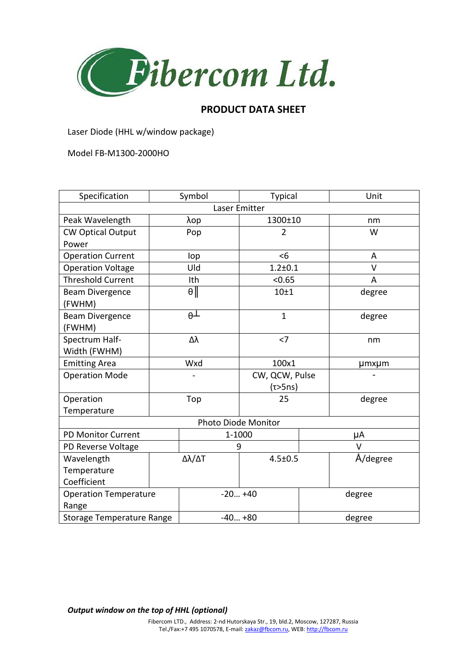

## **PRODUCT DATA SHEET**

Laser Diode (HHL w/window package)

Model FB-M1300-2000HO

| Specification                    |            | Symbol   | <b>Typical</b>   |        | Unit     |
|----------------------------------|------------|----------|------------------|--------|----------|
| Laser Emitter                    |            |          |                  |        |          |
| Peak Wavelength                  | λop        |          | 1300±10          |        | nm       |
| <b>CW Optical Output</b>         |            | Pop      | $\overline{2}$   |        | W        |
| Power                            |            |          |                  |        |          |
| <b>Operation Current</b>         |            | lop      | <6               |        | A        |
| <b>Operation Voltage</b>         |            | Uld      | $1.2 + 0.1$      |        | V        |
| <b>Threshold Current</b>         |            | Ith      | < 0.65           |        | A        |
| <b>Beam Divergence</b>           |            | $\theta$ | 10 <sub>±1</sub> |        | degree   |
| (FWHM)                           |            |          |                  |        |          |
| <b>Beam Divergence</b>           | $\theta$ T |          | $\mathbf{1}$     |        | degree   |
| (FWHM)                           |            |          |                  |        |          |
| Spectrum Half-                   | Δλ         |          | $<$ 7            |        | nm       |
| Width (FWHM)                     |            |          |                  |        |          |
| <b>Emitting Area</b>             |            | Wxd      | 100x1            |        | µmxµm    |
| <b>Operation Mode</b>            |            |          | CW, QCW, Pulse   |        |          |
|                                  |            |          | $(\tau>5ns)$     |        |          |
| Operation                        |            | Top      | 25               |        | degree   |
| Temperature                      |            |          |                  |        |          |
| Photo Diode Monitor              |            |          |                  |        |          |
| <b>PD Monitor Current</b>        |            | 1-1000   |                  | μA     |          |
| PD Reverse Voltage               |            | 9        |                  | V      |          |
| Wavelength                       | Δλ/ΔΤ      |          | $4.5 \pm 0.5$    |        | Å/degree |
| Temperature                      |            |          |                  |        |          |
| Coefficient                      |            |          |                  |        |          |
| <b>Operation Temperature</b>     |            | $-20+40$ |                  | degree |          |
| Range                            |            |          |                  |        |          |
| <b>Storage Temperature Range</b> |            | $-40+80$ |                  | degree |          |

*Output window on the top of HHL (optional)*